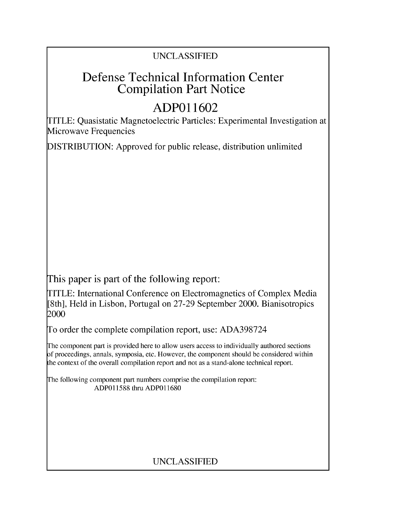### UNCLASSIFIED

## Defense Technical Information Center Compilation Part Notice

# **ADPO 11602**

TITLE: Quasistatic Magnetoelectric Particles: Experimental Investigation at Microwave Frequencies

DISTRIBUTION: Approved for public release, distribution unlimited

This paper is part of the following report:

TITLE: International Conference on Electromagnetics of Complex Media [8th], Held in Lisbon, Portugal on 27-29 September 2000. Bianisotropics 2000

To order the complete compilation report, use: ADA398724

The component part is provided here to allow users access to individually authored sections f proceedings, annals, symposia, etc. However, the component should be considered within [he context of the overall compilation report and not as a stand-alone technical report.

The following component part numbers comprise the compilation report: ADP011588 thru ADP011680

### UNCLASSIFIED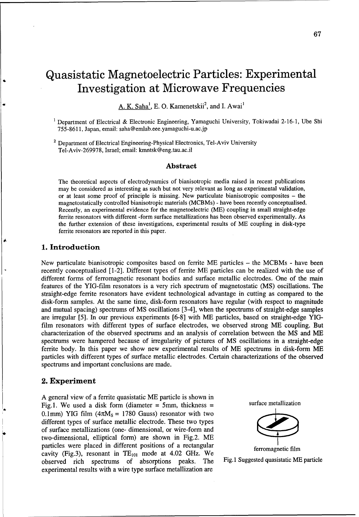## Quasistatic Magnetoelectric Particles: Experimental Investigation at Microwave Frequencies

A. K. Saha<sup>1</sup>, E. O. Kamenetskii<sup>2</sup>, and I. Awai<sup>1</sup>

<sup>1</sup> Department of Electrical & Electronic Engineering, Yamaguchi University, Tokiwadai 2-16-1, Ube Shi 755-8611, Japan, email: saha@emlab.eee.yamaguchi-u.ac.jp

<sup>2</sup> Department of Electrical Engineering-Physical Electronics, Tel-Aviv University Tel-Aviv-269978, Israel; email: kmntsk@eng.tau.ac.il

#### Abstract

The theoretical aspects of electrodynamics of bianisotropic media raised in recent publications may be considered as interesting as such but not very relevant as long as experimental validation, or at least some proof of principle is missing. New particulate bianisotropic composites - the magnetostatically controlled bianisotropic materials (MCBMs) - have been recently conceptualised. Recently, an experimental evidence for the magnetoelectric (ME) coupling in small straight-edge ferrite resonators with different -form surface metallizations has been observed experimentally. As the further extension of these investigations, experimental results of ME coupling in disk-type ferrite resonators are reported in this paper.

#### **1.** Introduction

New particulate bianisotropic composites based on ferrite ME particles - the MCBMs - have been recently conceptualised [1-2]. Different types of ferrite ME particles can be realized with the use of different forms of ferromagnetic resonant bodies and surface metallic electrodes. One of the main features of the YIG-film resonators is a very rich spectrum of magnetostatic (MS) oscillations. The straight-edge ferrite resonators have evident technological advantage in cutting as compared to the disk-form samples. At the same time, disk-form resonators have regular (with respect to magnitude and mutual spacing) spectrums of MS oscillations [3-4], when the spectrums of straight-edge samples are irregular [5]. In our previous experiments [6-8] with ME particles, based on straight-edge YIGfilm resonators with different types of surface electrodes, we observed strong ME coupling. But characterization of the observed spectrums and an analysis of correlation between the MS and ME spectrums were hampered because of irregularity of pictures of MS oscillations in a straight-edge ferrite body. In this paper we show new experimental results of ME spectrums in disk-form ME particles with different types of surface metallic electrodes. Certain characterizations of the observed spectrums and important conclusions are made.

#### 2. Experiment

A general view of a ferrite quasistatic ME particle is shown in Fig.1. We used a disk form (diameter = 5mm, thickness = surface metallization 0.1mm) YIG film  $(4\pi M_s = 1780 \text{ Gauss})$  resonator with two different types of surface metallic electrode. These two types of surface metallizations (one- dimensional, or wire-form and two-dimensional, elliptical form) are shown in Fig.2. ME particles were placed in different positions of a rectangular ferromagnetic film cavity (Fig.3), resonant in  $TE_{101}$  mode at 4.02 GHz. We observed rich spectrums of absorptions peaks. The Fig.1 Suggested quasistatic ME particle experimental results with a wire type surface metallization are



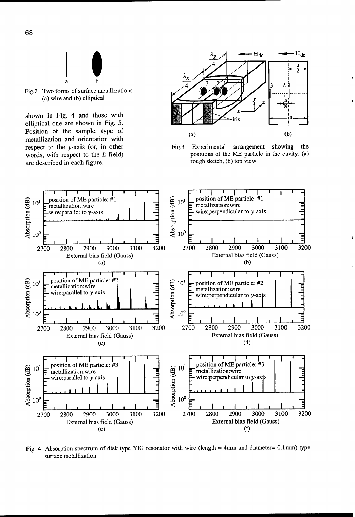

Fig.2 Two forms of surface metallizations (a) wire and **(b)** elliptical **Y**

shown in Fig. 4 and those with  $\left\lfloor \frac{1}{2} \right\rfloor$ elliptical one are shown in Fig.  $5$ . Position of the sample, type of metallization and orientation with are described in each figure.



respect to the y-axis (or, in other Fig.3 Experimental arrangement showing the words, with respect to the E-field) Fig.3 Experimental arrangement showing the positions of the ME particle in the cavity. (a) positions of the ME particle in the cavity. (a) rough sketch, (b) top view



Fig. 4 Absorption spectrum of disk type YIG resonator with wire (length = 4mm and diameter=  $0.1$ mm) type surface metallization.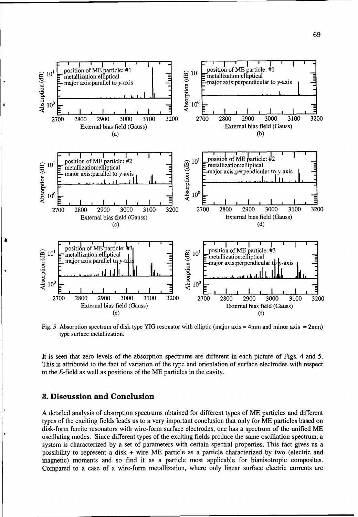

Fig. 5 Absorption spectrum of disk type YIG resonator with elliptic (major axis = 4mm and minor axis = 2mm) type surface metallization.

It is seen that zero levels of the absorption spectrums are different in each picture of Figs. 4 and 5. This is attributed to the fact of variation of the type and orientation of surface electrodes with respect to the E-field as well as positions of the ME particles in the cavity.

#### **3.** Discussion and Conclusion

A detailed analysis of absorption spectrums obtained for different types of ME particles and different types of the exciting fields leads us to a very important conclusion that only for ME particles based on disk-form ferrite resonators with wire-form surface electrodes, one has a spectrum of the unified ME oscillating modes. Since different types of the exciting fields produce the same oscillation spectrum, a system is characterized by a set of parameters with certain spectral properties. This fact gives us a possibility to represent a disk + wire ME particle as a particle characterized by two (electric and magnetic) moments and so find it as a particle most applicable for bianisotropic composites. Compared to a case of a wire-form metallization, where only linear surface electric currents are